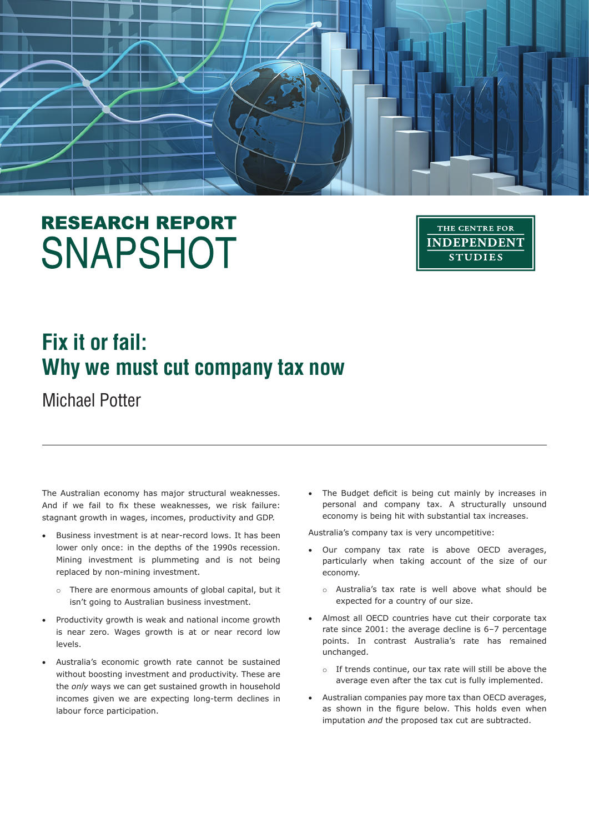# **RESEARCH REPORT SNAPSHOT**



## **Fix it or fail: Why we must cut company tax now**

Michael Potter

The Australian economy has major structural weaknesses. And if we fail to fix these weaknesses, we risk failure: stagnant growth in wages, incomes, productivity and GDP.

- Business investment is at near-record lows. It has been lower only once: in the depths of the 1990s recession. Mining investment is plummeting and is not being replaced by non-mining investment.
	- o There are enormous amounts of global capital, but it isn't going to Australian business investment.
- Productivity growth is weak and national income growth is near zero. Wages growth is at or near record low levels.
- Australia's economic growth rate cannot be sustained without boosting investment and productivity. These are the *only* ways we can get sustained growth in household incomes given we are expecting long-term declines in labour force participation.

• The Budget deficit is being cut mainly by increases in personal and company tax. A structurally unsound economy is being hit with substantial tax increases.

Australia's company tax is very uncompetitive:

- • Our company tax rate is above OECD averages, particularly when taking account of the size of our economy.
	- o Australia's tax rate is well above what should be expected for a country of our size.
- • Almost all OECD countries have cut their corporate tax rate since 2001: the average decline is 6–7 percentage points. In contrast Australia's rate has remained unchanged.
	- o If trends continue, our tax rate will still be above the average even after the tax cut is fully implemented.
- • Australian companies pay more tax than OECD averages, as shown in the figure below. This holds even when imputation *and* the proposed tax cut are subtracted.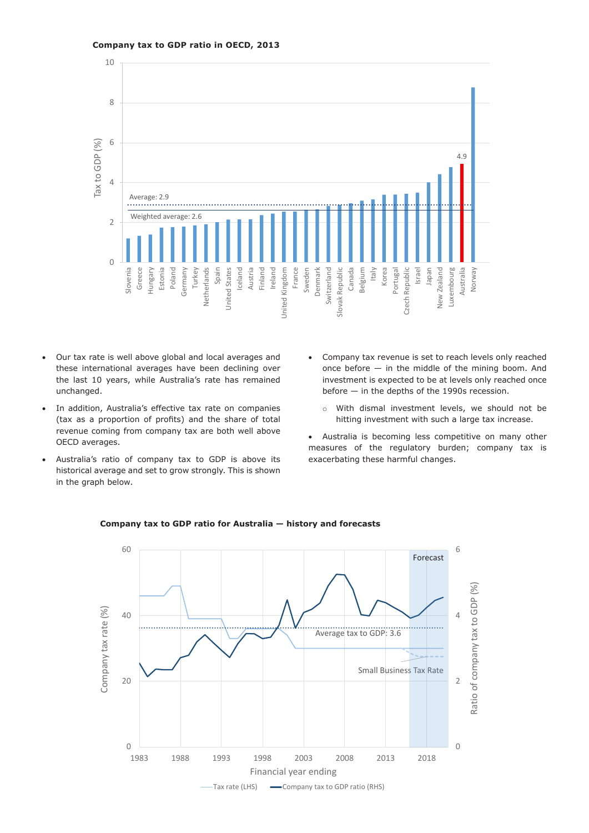#### **Company tax to GDP ratio in OECD, 2013**



- • Our tax rate is well above global and local averages and these international averages have been declining over the last 10 years, while Australia's rate has remained unchanged.
- In addition, Australia's effective tax rate on companies (tax as a proportion of profits) and the share of total revenue coming from company tax are both well above OECD averages.
- Australia's ratio of company tax to GDP is above its historical average and set to grow strongly. This is shown in the graph below.
- • Company tax revenue is set to reach levels only reached once before — in the middle of the mining boom. And investment is expected to be at levels only reached once before — in the depths of the 1990s recession.
	- o With dismal investment levels, we should not be hitting investment with such a large tax increase.
- • Australia is becoming less competitive on many other measures of the regulatory burden; company tax is exacerbating these harmful changes.



#### **Company tax to GDP ratio for Australia — history and forecasts**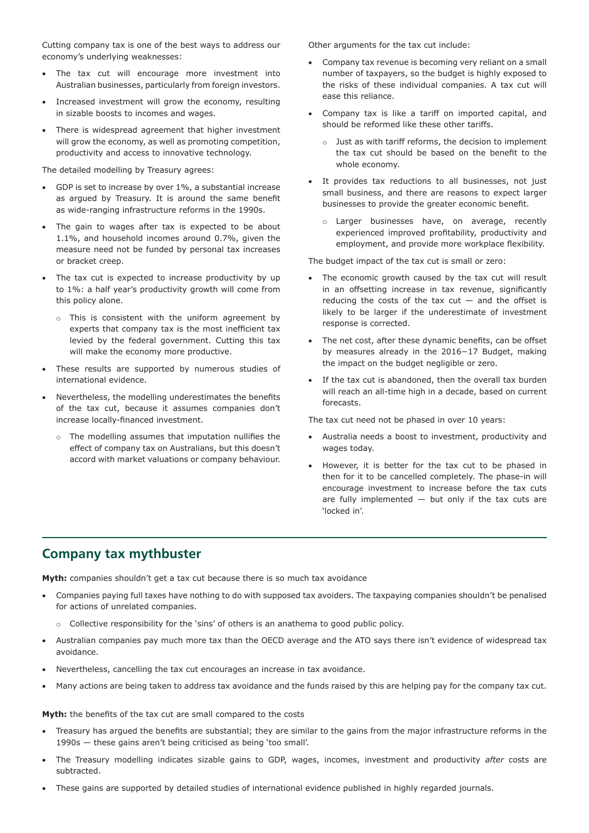Cutting company tax is one of the best ways to address our economy's underlying weaknesses:

- • The tax cut will encourage more investment into Australian businesses, particularly from foreign investors.
- Increased investment will grow the economy, resulting in sizable boosts to incomes and wages.
- There is widespread agreement that higher investment will grow the economy, as well as promoting competition, productivity and access to innovative technology.

The detailed modelling by Treasury agrees:

- • GDP is set to increase by over 1%, a substantial increase as argued by Treasury. It is around the same benefit as wide-ranging infrastructure reforms in the 1990s.
- The gain to wages after tax is expected to be about 1.1%, and household incomes around 0.7%, given the measure need not be funded by personal tax increases or bracket creep.
- The tax cut is expected to increase productivity by up to 1%: a half year's productivity growth will come from this policy alone.
	- o This is consistent with the uniform agreement by experts that company tax is the most inefficient tax levied by the federal government. Cutting this tax will make the economy more productive.
- These results are supported by numerous studies of international evidence.
- Nevertheless, the modelling underestimates the benefits of the tax cut, because it assumes companies don't increase locally-financed investment.
	- o The modelling assumes that imputation nullifies the effect of company tax on Australians, but this doesn't accord with market valuations or company behaviour.

Other arguments for the tax cut include:

- • Company tax revenue is becoming very reliant on a small number of taxpayers, so the budget is highly exposed to the risks of these individual companies. A tax cut will ease this reliance.
- • Company tax is like a tariff on imported capital, and should be reformed like these other tariffs.
	- o Just as with tariff reforms, the decision to implement the tax cut should be based on the benefit to the whole economy.
- • It provides tax reductions to all businesses, not just small business, and there are reasons to expect larger businesses to provide the greater economic benefit.
	- o Larger businesses have, on average, recently experienced improved profitability, productivity and employment, and provide more workplace flexibility.

The budget impact of the tax cut is small or zero:

- The economic growth caused by the tax cut will result in an offsetting increase in tax revenue, significantly reducing the costs of the tax  $cut -$  and the offset is likely to be larger if the underestimate of investment response is corrected.
- The net cost, after these dynamic benefits, can be offset by measures already in the 2016−17 Budget, making the impact on the budget negligible or zero.
- If the tax cut is abandoned, then the overall tax burden will reach an all-time high in a decade, based on current forecasts.

The tax cut need not be phased in over 10 years:

- • Australia needs a boost to investment, productivity and wages today.
- • However, it is better for the tax cut to be phased in then for it to be cancelled completely. The phase-in will encourage investment to increase before the tax cuts are fully implemented  $-$  but only if the tax cuts are 'locked in'.

### **Company tax mythbuster**

Myth: companies shouldn't get a tax cut because there is so much tax avoidance

- • Companies paying full taxes have nothing to do with supposed tax avoiders. The taxpaying companies shouldn't be penalised for actions of unrelated companies.
	- o Collective responsibility for the 'sins' of others is an anathema to good public policy.
- Australian companies pay much more tax than the OECD average and the ATO says there isn't evidence of widespread tax avoidance.
- Nevertheless, cancelling the tax cut encourages an increase in tax avoidance.
- Many actions are being taken to address tax avoidance and the funds raised by this are helping pay for the company tax cut.

**Myth:** the benefits of the tax cut are small compared to the costs

- Treasury has argued the benefits are substantial; they are similar to the gains from the major infrastructure reforms in the 1990s — these gains aren't being criticised as being 'too small'.
- The Treasury modelling indicates sizable gains to GDP, wages, incomes, investment and productivity *after* costs are subtracted.
- These gains are supported by detailed studies of international evidence published in highly regarded journals.